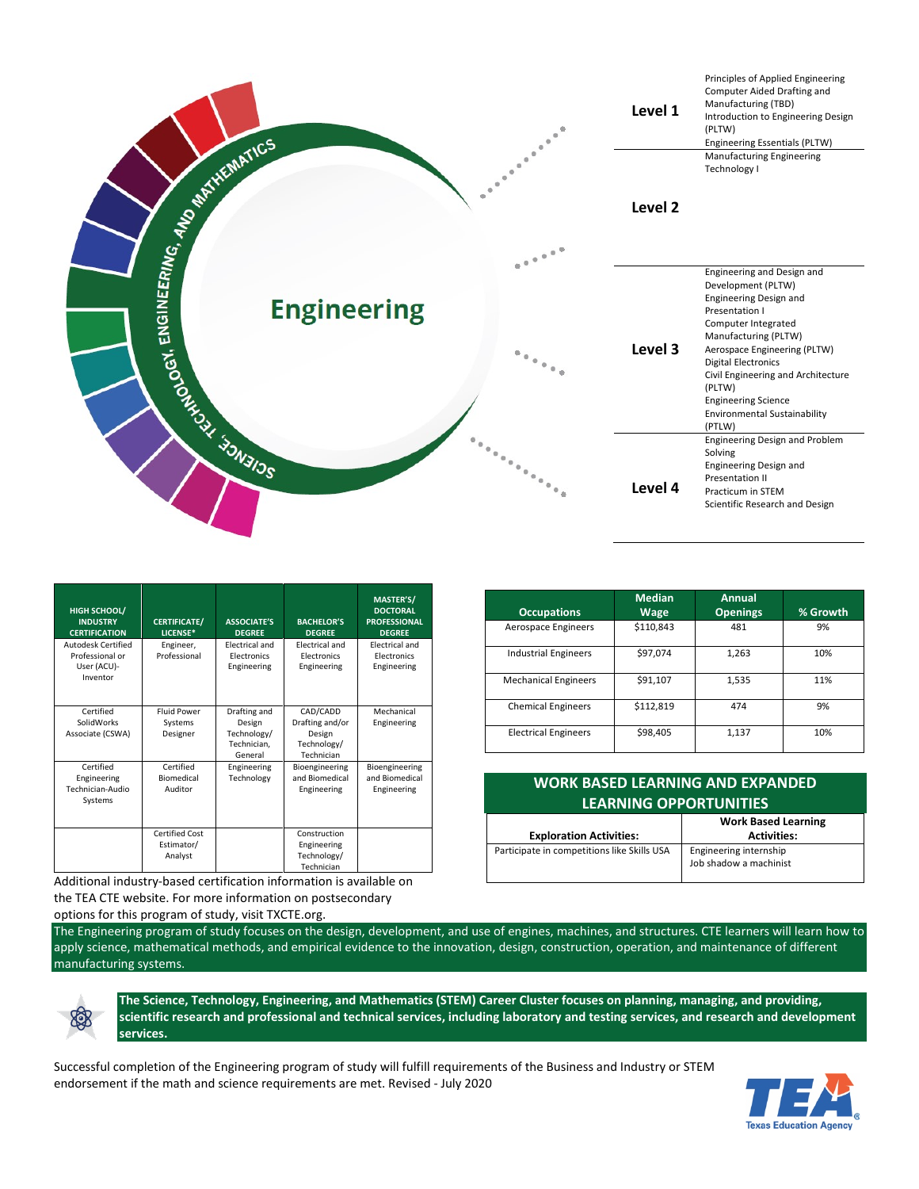

| <b>HIGH SCHOOL/</b><br><b>INDUSTRY</b><br><b>CERTIFICATION</b>   | <b>CERTIFICATE/</b><br>LICENSE*           | <b>ASSOCIATE'S</b><br><b>DEGREE</b>                             | <b>BACHELOR'S</b><br><b>DEGREE</b>                                 | MASTER'S/<br><b>DOCTORAL</b><br><b>PROFESSIONAL</b><br><b>DEGREE</b> |
|------------------------------------------------------------------|-------------------------------------------|-----------------------------------------------------------------|--------------------------------------------------------------------|----------------------------------------------------------------------|
| Autodesk Certified<br>Professional or<br>User (ACU)-<br>Inventor | Engineer,<br>Professional                 | <b>Electrical and</b><br><b>Electronics</b><br>Engineering      | <b>Electrical and</b><br><b>Electronics</b><br>Engineering         | <b>Electrical and</b><br><b>Electronics</b><br>Engineering           |
| Certified<br>SolidWorks<br>Associate (CSWA)                      | <b>Fluid Power</b><br>Systems<br>Designer | Drafting and<br>Design<br>Technology/<br>Technician.<br>General | CAD/CADD<br>Drafting and/or<br>Design<br>Technology/<br>Technician | Mechanical<br>Engineering                                            |
| Certified<br>Engineering<br>Technician-Audio<br>Systems          | Certified<br>Biomedical<br>Auditor        | Engineering<br>Technology                                       | Bioengineering<br>and Biomedical<br>Engineering                    | Bioengineering<br>and Biomedical<br>Engineering                      |
|                                                                  | Certified Cost<br>Estimator/<br>Analyst   |                                                                 | Construction<br>Engineering<br>Technology/<br>Technician           |                                                                      |

Additional industry-based certification information is available on the TEA CTE website. For more information on postsecondary

options for this program of study, visit TXCTE.org.

| <b>Occupations</b>          | <b>Median</b><br>Wage | <b>Annual</b><br><b>Openings</b> | % Growth |
|-----------------------------|-----------------------|----------------------------------|----------|
| Aerospace Engineers         | \$110,843             | 481                              | 9%       |
| <b>Industrial Engineers</b> | \$97,074              | 1,263                            | 10%      |
| <b>Mechanical Engineers</b> | \$91,107              | 1,535                            | 11%      |
| <b>Chemical Engineers</b>   | \$112,819             | 474                              | 9%       |
| <b>Electrical Engineers</b> | \$98,405              | 1,137                            | 10%      |

| <b>WORK BASED LEARNING AND EXPANDED</b><br><b>LEARNING OPPORTUNITIES</b> |                                                  |  |  |  |
|--------------------------------------------------------------------------|--------------------------------------------------|--|--|--|
| <b>Exploration Activities:</b>                                           | <b>Work Based Learning</b><br><b>Activities:</b> |  |  |  |
| Participate in competitions like Skills USA                              | Engineering internship<br>Job shadow a machinist |  |  |  |

The Engineering program of study focuses on the design, development, and use of engines, machines, and structures. CTE learners will learn how to apply science, mathematical methods, and empirical evidence to the innovation, design, construction, operation, and maintenance of different manufacturing systems.



**The Science, Technology, Engineering, and Mathematics (STEM) Career Cluster focuses on planning, managing, and providing, scientific research and professional and technical services, including laboratory and testing services, and research and development services.**

Successful completion of the Engineering program of study will fulfill requirements of the Business and Industry or STEM endorsement if the math and science requirements are met. Revised - July 2020